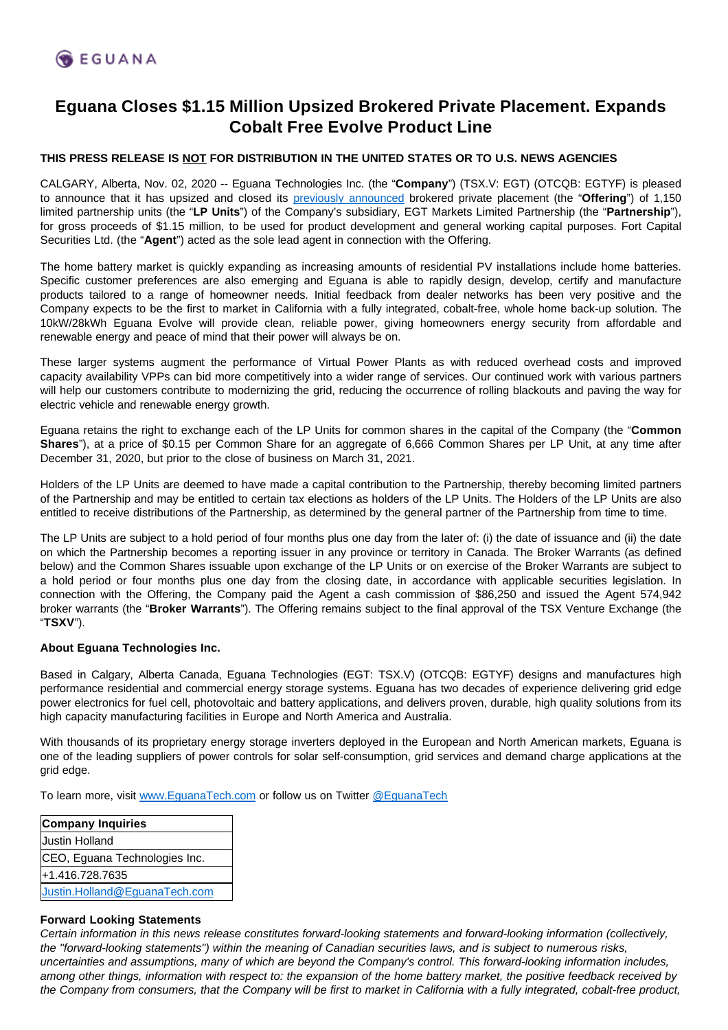## **Eguana Closes \$1.15 Million Upsized Brokered Private Placement. Expands Cobalt Free Evolve Product Line**

## **THIS PRESS RELEASE IS NOT FOR DISTRIBUTION IN THE UNITED STATES OR TO U.S. NEWS AGENCIES**

CALGARY, Alberta, Nov. 02, 2020 -- Eguana Technologies Inc. (the "**Company**") (TSX.V: EGT) (OTCQB: EGTYF) is pleased to announce that it has upsized and closed its [previously announced](http://www.eguanatech.com/_resources/news/nr-20201016.pdf) brokered private placement (the "**Offering**") of 1,150 limited partnership units (the "**LP Units**") of the Company's subsidiary, EGT Markets Limited Partnership (the "**Partnership**"), for gross proceeds of \$1.15 million, to be used for product development and general working capital purposes. Fort Capital Securities Ltd. (the "**Agent**") acted as the sole lead agent in connection with the Offering.

The home battery market is quickly expanding as increasing amounts of residential PV installations include home batteries. Specific customer preferences are also emerging and Eguana is able to rapidly design, develop, certify and manufacture products tailored to a range of homeowner needs. Initial feedback from dealer networks has been very positive and the Company expects to be the first to market in California with a fully integrated, cobalt-free, whole home back-up solution. The 10kW/28kWh Eguana Evolve will provide clean, reliable power, giving homeowners energy security from affordable and renewable energy and peace of mind that their power will always be on.

These larger systems augment the performance of Virtual Power Plants as with reduced overhead costs and improved capacity availability VPPs can bid more competitively into a wider range of services. Our continued work with various partners will help our customers contribute to modernizing the grid, reducing the occurrence of rolling blackouts and paving the way for electric vehicle and renewable energy growth.

Eguana retains the right to exchange each of the LP Units for common shares in the capital of the Company (the "**Common Shares**"), at a price of \$0.15 per Common Share for an aggregate of 6,666 Common Shares per LP Unit, at any time after December 31, 2020, but prior to the close of business on March 31, 2021.

Holders of the LP Units are deemed to have made a capital contribution to the Partnership, thereby becoming limited partners of the Partnership and may be entitled to certain tax elections as holders of the LP Units. The Holders of the LP Units are also entitled to receive distributions of the Partnership, as determined by the general partner of the Partnership from time to time.

The LP Units are subject to a hold period of four months plus one day from the later of: (i) the date of issuance and (ii) the date on which the Partnership becomes a reporting issuer in any province or territory in Canada. The Broker Warrants (as defined below) and the Common Shares issuable upon exchange of the LP Units or on exercise of the Broker Warrants are subject to a hold period or four months plus one day from the closing date, in accordance with applicable securities legislation. In connection with the Offering, the Company paid the Agent a cash commission of \$86,250 and issued the Agent 574,942 broker warrants (the "**Broker Warrants**"). The Offering remains subject to the final approval of the TSX Venture Exchange (the "**TSXV**").

## **About Eguana Technologies Inc.**

Based in Calgary, Alberta Canada, Eguana Technologies (EGT: TSX.V) (OTCQB: EGTYF) designs and manufactures high performance residential and commercial energy storage systems. Eguana has two decades of experience delivering grid edge power electronics for fuel cell, photovoltaic and battery applications, and delivers proven, durable, high quality solutions from its high capacity manufacturing facilities in Europe and North America and Australia.

With thousands of its proprietary energy storage inverters deployed in the European and North American markets, Eguana is one of the leading suppliers of power controls for solar self-consumption, grid services and demand charge applications at the grid edge.

To learn more, visit [www.EguanaTech.com](http://www.eguanatech.com/) or follow us on Twitter [@EguanaTech](https://twitter.com/EguanaTech)

| Company Inquiries             |
|-------------------------------|
| Justin Holland                |
| CEO, Eguana Technologies Inc. |
| +1.416.728.7635               |
| Justin.Holland@EguanaTech.com |

## **Forward Looking Statements**

Certain information in this news release constitutes forward-looking statements and forward-looking information (collectively, the "forward-looking statements") within the meaning of Canadian securities laws, and is subject to numerous risks, uncertainties and assumptions, many of which are beyond the Company's control. This forward-looking information includes, among other things, information with respect to: the expansion of the home battery market, the positive feedback received by the Company from consumers, that the Company will be first to market in California with a fully integrated, cobalt-free product,